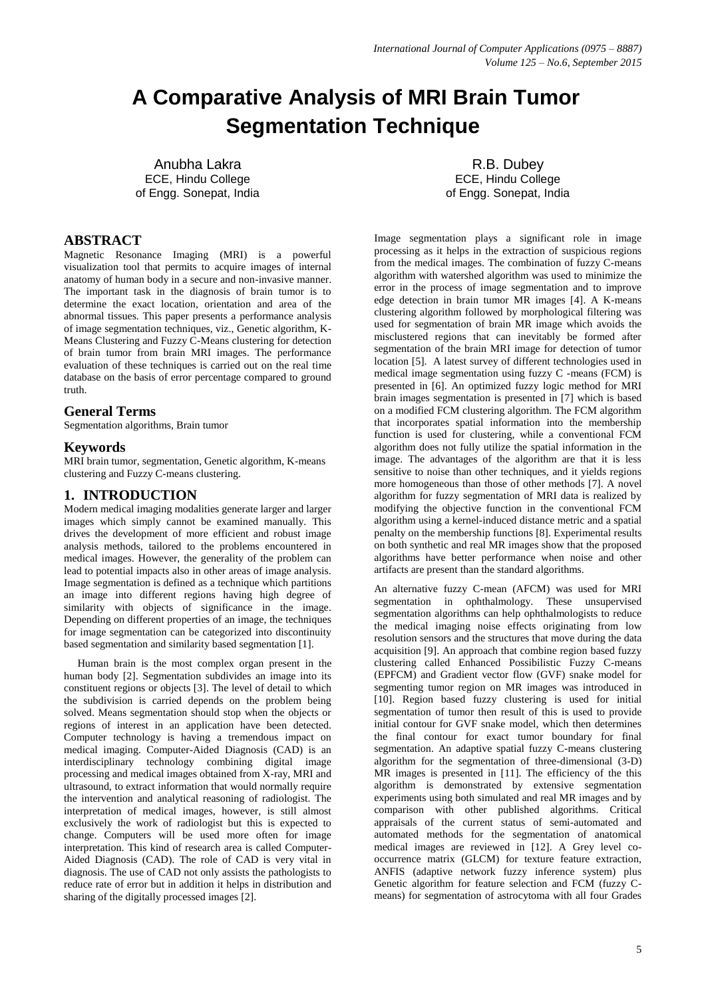# **A Comparative Analysis of MRI Brain Tumor Segmentation Technique**

Anubha Lakra ECE, Hindu College of Engg. Sonepat, India

## **ABSTRACT**

Magnetic Resonance Imaging (MRI) is a powerful visualization tool that permits to acquire images of internal anatomy of human body in a secure and non-invasive manner. The important task in the diagnosis of brain tumor is to determine the exact location, orientation and area of the abnormal tissues. This paper presents a performance analysis of image segmentation techniques, viz., Genetic algorithm, K-Means Clustering and Fuzzy C-Means clustering for detection of brain tumor from brain MRI images. The performance evaluation of these techniques is carried out on the real time database on the basis of error percentage compared to ground truth.

# **General Terms**

Segmentation algorithms, Brain tumor

### **Keywords**

MRI brain tumor, segmentation, Genetic algorithm, K-means clustering and Fuzzy C-means clustering.

### **1. INTRODUCTION**

Modern medical imaging modalities generate larger and larger images which simply cannot be examined manually. This drives the development of more efficient and robust image analysis methods, tailored to the problems encountered in medical images. However, the generality of the problem can lead to potential impacts also in other areas of image analysis. Image segmentation is defined as a technique which partitions an image into different regions having high degree of similarity with objects of significance in the image. Depending on different properties of an image, the techniques for image segmentation can be categorized into discontinuity based segmentation and similarity based segmentation [1].

 Human brain is the most complex organ present in the human body [2]. Segmentation subdivides an image into its constituent regions or objects [3]. The level of detail to which the subdivision is carried depends on the problem being solved. Means segmentation should stop when the objects or regions of interest in an application have been detected. Computer technology is having a tremendous impact on medical imaging. Computer-Aided Diagnosis (CAD) is an interdisciplinary technology combining digital image processing and medical images obtained from X-ray, MRI and ultrasound, to extract information that would normally require the intervention and analytical reasoning of radiologist. The interpretation of medical images, however, is still almost exclusively the work of radiologist but this is expected to change. Computers will be used more often for image interpretation. This kind of research area is called Computer-Aided Diagnosis (CAD). The role of CAD is very vital in diagnosis. The use of CAD not only assists the pathologists to reduce rate of error but in addition it helps in distribution and sharing of the digitally processed images [2].

R.B. Dubey ECE, Hindu College of Engg. Sonepat, India

Image segmentation plays a significant role in image processing as it helps in the extraction of suspicious regions from the medical images. The combination of fuzzy C-means algorithm with watershed algorithm was used to minimize the error in the process of image segmentation and to improve edge detection in brain tumor MR images [4]. A K-means clustering algorithm followed by morphological filtering was used for segmentation of brain MR image which avoids the misclustered regions that can inevitably be formed after segmentation of the brain MRI image for detection of tumor location [5]. A latest survey of different technologies used in medical image segmentation using fuzzy C -means (FCM) is presented in [6]. An optimized fuzzy logic method for MRI brain images segmentation is presented in [7] which is based on a modified FCM clustering algorithm. The FCM algorithm that incorporates spatial information into the membership function is used for clustering, while a conventional FCM algorithm does not fully utilize the spatial information in the image. The advantages of the algorithm are that it is less sensitive to noise than other techniques, and it yields regions more homogeneous than those of other methods [7]. A novel algorithm for fuzzy segmentation of MRI data is realized by modifying the objective function in the conventional FCM algorithm using a kernel-induced distance metric and a spatial penalty on the membership functions [8]. Experimental results on both synthetic and real MR images show that the proposed algorithms have better performance when noise and other artifacts are present than the standard algorithms.

An alternative fuzzy C-mean (AFCM) was used for MRI segmentation in ophthalmology. These unsupervised segmentation algorithms can help ophthalmologists to reduce the medical imaging noise effects originating from low resolution sensors and the structures that move during the data acquisition [9]. An approach that combine region based fuzzy clustering called Enhanced Possibilistic Fuzzy C-means (EPFCM) and Gradient vector flow (GVF) snake model for segmenting tumor region on MR images was introduced in [10]. Region based fuzzy clustering is used for initial segmentation of tumor then result of this is used to provide initial contour for GVF snake model, which then determines the final contour for exact tumor boundary for final segmentation. An adaptive spatial fuzzy C-means clustering algorithm for the segmentation of three-dimensional (3-D) MR images is presented in [11]. The efficiency of the this algorithm is demonstrated by extensive segmentation experiments using both simulated and real MR images and by comparison with other published algorithms. Critical appraisals of the current status of semi-automated and automated methods for the segmentation of anatomical medical images are reviewed in [12]. A Grey level cooccurrence matrix (GLCM) for texture feature extraction, ANFIS (adaptive network fuzzy inference system) plus Genetic algorithm for feature selection and FCM (fuzzy Cmeans) for segmentation of astrocytoma with all four Grades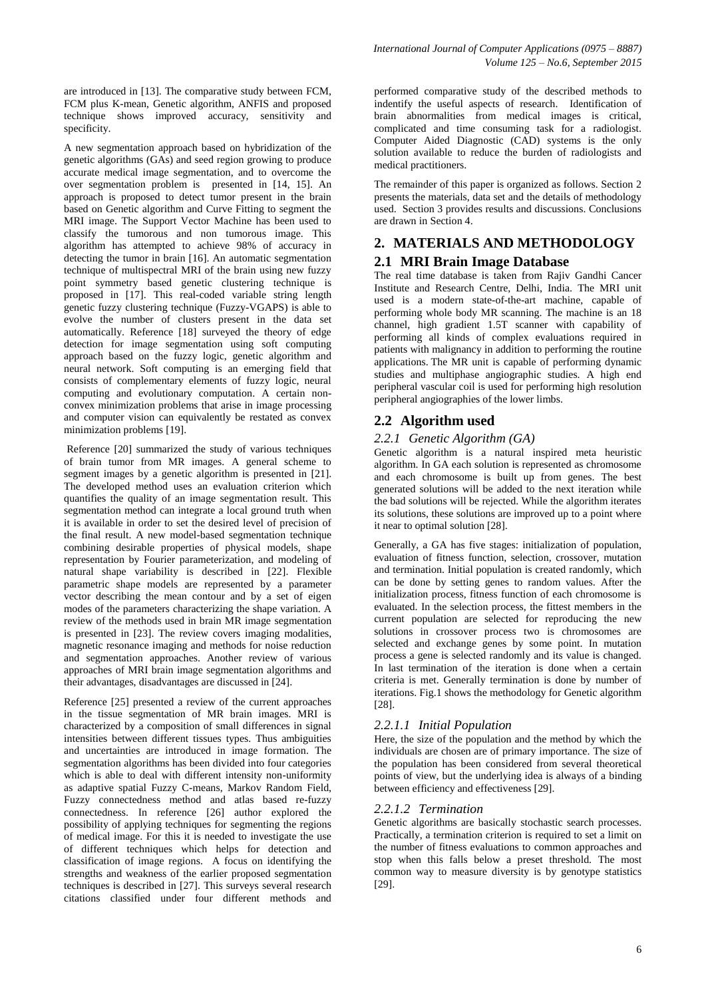are introduced in [13]. The comparative study between FCM, FCM plus K-mean, Genetic algorithm, ANFIS and proposed technique shows improved accuracy, sensitivity and specificity.

A new segmentation approach based on hybridization of the genetic algorithms (GAs) and seed region growing to produce accurate medical image segmentation, and to overcome the over segmentation problem is presented in [14, 15]. An approach is proposed to detect tumor present in the brain based on Genetic algorithm and Curve Fitting to segment the MRI image. The Support Vector Machine has been used to classify the tumorous and non tumorous image. This algorithm has attempted to achieve 98% of accuracy in detecting the tumor in brain [16]. An automatic segmentation technique of multispectral MRI of the brain using new fuzzy point symmetry based genetic clustering technique is proposed in [17]. This real-coded variable string length genetic fuzzy clustering technique (Fuzzy-VGAPS) is able to evolve the number of clusters present in the data set automatically. Reference [18] surveyed the theory of edge detection for image segmentation using soft computing approach based on the fuzzy logic, genetic algorithm and neural network. Soft computing is an emerging field that consists of complementary elements of fuzzy logic, neural computing and evolutionary computation. A certain nonconvex minimization problems that arise in image processing and computer vision can equivalently be restated as convex minimization problems [19].

Reference [20] summarized the study of various techniques of brain tumor from MR images. A general scheme to segment images by a genetic algorithm is presented in [21]. The developed method uses an evaluation criterion which quantifies the quality of an image segmentation result. This segmentation method can integrate a local ground truth when it is available in order to set the desired level of precision of the final result. A new model-based segmentation technique combining desirable properties of physical models, shape representation by Fourier parameterization, and modeling of natural shape variability is described in [22]. Flexible parametric shape models are represented by a parameter vector describing the mean contour and by a set of eigen modes of the parameters characterizing the shape variation. A review of the methods used in brain MR image segmentation is presented in [23]. The review covers imaging modalities, magnetic resonance imaging and methods for noise reduction and segmentation approaches. Another review of various approaches of MRI brain image segmentation algorithms and their advantages, disadvantages are discussed in [24].

Reference [25] presented a review of the current approaches in the tissue segmentation of MR brain images. MRI is characterized by a composition of small differences in signal intensities between different tissues types. Thus ambiguities and uncertainties are introduced in image formation. The segmentation algorithms has been divided into four categories which is able to deal with different intensity non-uniformity as adaptive spatial Fuzzy C-means, Markov Random Field, Fuzzy connectedness method and atlas based re-fuzzy connectedness. In reference [26] author explored the possibility of applying techniques for segmenting the regions of medical image. For this it is needed to investigate the use of different techniques which helps for detection and classification of image regions. A focus on identifying the strengths and weakness of the earlier proposed segmentation techniques is described in [27]. This surveys several research citations classified under four different methods and

performed comparative study of the described methods to indentify the useful aspects of research. Identification of brain abnormalities from medical images is critical, complicated and time consuming task for a radiologist. Computer Aided Diagnostic (CAD) systems is the only solution available to reduce the burden of radiologists and medical practitioners.

The remainder of this paper is organized as follows. Section 2 presents the materials, data set and the details of methodology used. Section 3 provides results and discussions. Conclusions are drawn in Section 4.

# **2. MATERIALS AND METHODOLOGY**

# **2.1 MRI Brain Image Database**

The real time database is taken from Rajiv Gandhi Cancer Institute and Research Centre, Delhi, India. The MRI unit used is a modern state-of-the-art machine, capable of performing whole body MR scanning. The machine is an 18 channel, high gradient 1.5T scanner with capability of performing all kinds of complex evaluations required in patients with malignancy in addition to performing the routine applications. The MR unit is capable of performing dynamic studies and multiphase angiographic studies. A high end peripheral vascular coil is used for performing high resolution peripheral angiographies of the lower limbs.

# **2.2 Algorithm used**

### *2.2.1 Genetic Algorithm (GA)*

Genetic algorithm is a natural inspired meta heuristic algorithm. In GA each solution is represented as chromosome and each chromosome is built up from genes. The best generated solutions will be added to the next iteration while the bad solutions will be rejected. While the algorithm iterates its solutions, these solutions are improved up to a point where it near to optimal solution [28].

Generally, a GA has five stages: initialization of population, evaluation of fitness function, selection, crossover, mutation and termination. Initial population is created randomly, which can be done by setting genes to random values. After the initialization process, fitness function of each chromosome is evaluated. In the selection process, the fittest members in the current population are selected for reproducing the new solutions in crossover process two is chromosomes are selected and exchange genes by some point. In mutation process a gene is selected randomly and its value is changed. In last termination of the iteration is done when a certain criteria is met. Generally termination is done by number of iterations. Fig.1 shows the methodology for Genetic algorithm [28].

### *2.2.1.1 Initial Population*

Here, the size of the population and the method by which the individuals are chosen are of primary importance. The size of the population has been considered from several theoretical points of view, but the underlying idea is always of a binding between efficiency and effectiveness [29].

### *2.2.1.2 Termination*

Genetic algorithms are basically stochastic search processes. Practically, a termination criterion is required to set a limit on the number of fitness evaluations to common approaches and stop when this falls below a preset threshold. The most common way to measure diversity is by genotype statistics [29].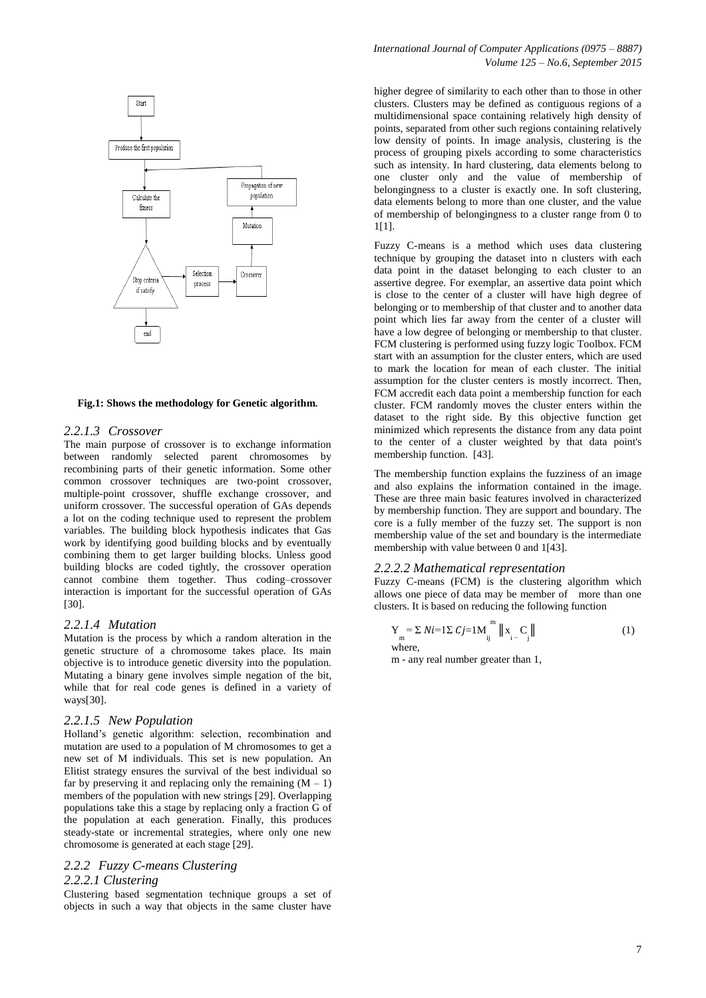

### **Fig.1: Shows the methodology for Genetic algorithm.**

#### *2.2.1.3 Crossover*

The main purpose of crossover is to exchange information between randomly selected parent chromosomes by recombining parts of their genetic information. Some other common crossover techniques are two-point crossover, multiple-point crossover, shuffle exchange crossover, and uniform crossover. The successful operation of GAs depends a lot on the coding technique used to represent the problem variables. The building block hypothesis indicates that Gas work by identifying good building blocks and by eventually combining them to get larger building blocks. Unless good building blocks are coded tightly, the crossover operation cannot combine them together. Thus coding–crossover interaction is important for the successful operation of GAs [30].

#### *2.2.1.4 Mutation*

Mutation is the process by which a random alteration in the genetic structure of a chromosome takes place. Its main objective is to introduce genetic diversity into the population. Mutating a binary gene involves simple negation of the bit, while that for real code genes is defined in a variety of ways[30].

#### *2.2.1.5 New Population*

Holland's genetic algorithm: selection, recombination and mutation are used to a population of M chromosomes to get a new set of M individuals. This set is new population. An Elitist strategy ensures the survival of the best individual so far by preserving it and replacing only the remaining  $(M - 1)$ members of the population with new strings [29]. Overlapping populations take this a stage by replacing only a fraction G of the population at each generation. Finally, this produces steady-state or incremental strategies, where only one new chromosome is generated at each stage [29].

# *2.2.2 Fuzzy C-means Clustering*

## *2.2.2.1 Clustering*

Clustering based segmentation technique groups a set of objects in such a way that objects in the same cluster have higher degree of similarity to each other than to those in other clusters. Clusters may be defined as contiguous regions of a multidimensional space containing relatively high density of points, separated from other such regions containing relatively low density of points. In image analysis, clustering is the process of grouping pixels according to some characteristics such as intensity. In hard clustering, data elements belong to one cluster only and the value of membership of belongingness to a cluster is exactly one. In soft clustering, data elements belong to more than one cluster, and the value of membership of belongingness to a cluster range from 0 to 1[1].

Fuzzy C-means is a method which uses data clustering technique by grouping the dataset into n clusters with each data point in the dataset belonging to each cluster to an assertive degree. For exemplar, an assertive data point which is close to the center of a cluster will have high degree of belonging or to membership of that cluster and to another data point which lies far away from the center of a cluster will have a low degree of belonging or membership to that cluster. FCM clustering is performed using fuzzy logic Toolbox. FCM start with an assumption for the cluster enters, which are used to mark the location for mean of each cluster. The initial assumption for the cluster centers is mostly incorrect. Then, FCM accredit each data point a membership function for each cluster. FCM randomly moves the cluster enters within the dataset to the right side. By this objective function get minimized which represents the distance from any data point to the center of a cluster weighted by that data point's membership function. [43].

The membership function explains the fuzziness of an image and also explains the information contained in the image. These are three main basic features involved in characterized by membership function. They are support and boundary. The core is a fully member of the fuzzy set. The support is non membership value of the set and boundary is the intermediate membership with value between 0 and 1[43].

### *2.2.2.2 Mathematical representation*

Fuzzy C-means (FCM) is the clustering algorithm which allows one piece of data may be member of more than one clusters. It is based on reducing the following function

$$
Y_{m} = \sum Ni = 1 \sum Cj = 1 M \bigcup_{ij}^{m} \|x_{i} - C_{j}\|
$$
 (1) where.

m - any real number greater than 1,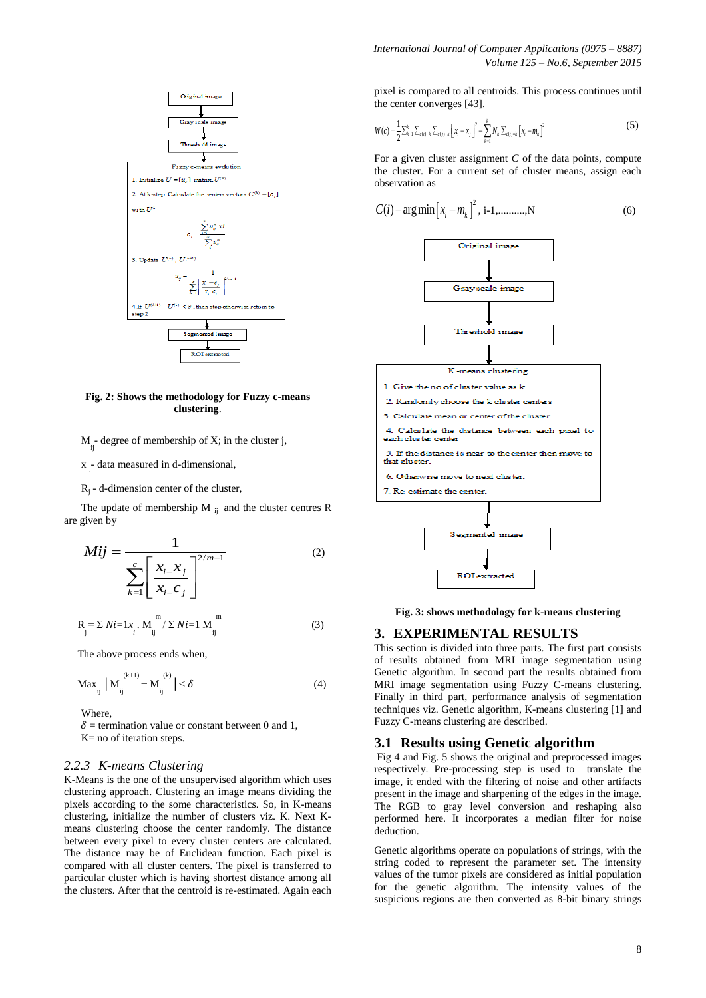

### **Fig. 2: Shows the methodology for Fuzzy c-means clustering**.

 $M_{i}$ - degree of membership of X; in the cluster j,

 $x \div i$  data measured in d-dimensional,

 $R_j$  - d-dimension center of the cluster,

The update of membership M  $_{ii}$  and the cluster centres R are given by

$$
Mij = \frac{1}{\sum_{k=1}^{c} \left[ \frac{x_{i-}x_j}{x_{i-}c_j} \right]^{2/m-1}}
$$
 (2)

$$
R_{j} = \sum N i = 1 x_{i} . M_{ij}^{m} / \sum N i = 1 M_{ij}^{m}
$$
 (3)

The above process ends when,

$$
Max_{ij} |M_{ij}^{(k+1)} - M_{ij}^{(k)}| < \delta
$$
 (4)

Where,

 $\delta$  = termination value or constant between 0 and 1. K= no of iteration steps.

### *2.2.3 K-means Clustering*

K-Means is the one of the unsupervised algorithm which uses clustering approach. Clustering an image means dividing the pixels according to the some characteristics. So, in K-means clustering, initialize the number of clusters viz. K. Next Kmeans clustering choose the center randomly. The distance between every pixel to every cluster centers are calculated. The distance may be of Euclidean function. Each pixel is compared with all cluster centers. The pixel is transferred to particular cluster which is having shortest distance among all the clusters. After that the centroid is re-estimated. Again each

pixel is compared to all centroids. This process continues until the center converges [43].

$$
W(c) = \frac{1}{2} \sum_{k=1}^{k} \sum_{c(i)=k} \sum_{c(j)=k} \left[ x_i - x_j \right]^2 - \sum_{k=1}^{k} N_k \sum_{c(i)=k} \left[ x_i - m_k \right]^2
$$
 (5)

For a given cluster assignment *C* of the data points, compute the cluster. For a current set of cluster means, assign each observation as



**Fig. 3: shows methodology for k-means clustering**

### **3. EXPERIMENTAL RESULTS**

This section is divided into three parts. The first part consists of results obtained from MRI image segmentation using Genetic algorithm. In second part the results obtained from MRI image segmentation using Fuzzy C-means clustering. Finally in third part, performance analysis of segmentation techniques viz. Genetic algorithm, K-means clustering [1] and Fuzzy C-means clustering are described.

### **3.1 Results using Genetic algorithm**

Fig 4 and Fig. 5 shows the original and preprocessed images respectively. Pre-processing step is used to translate the image, it ended with the filtering of noise and other artifacts present in the image and sharpening of the edges in the image. The RGB to gray level conversion and reshaping also performed here. It incorporates a median filter for noise deduction.

Genetic algorithms operate on populations of strings, with the string coded to represent the parameter set. The intensity values of the tumor pixels are considered as initial population for the genetic algorithm. The intensity values of the suspicious regions are then converted as 8-bit binary strings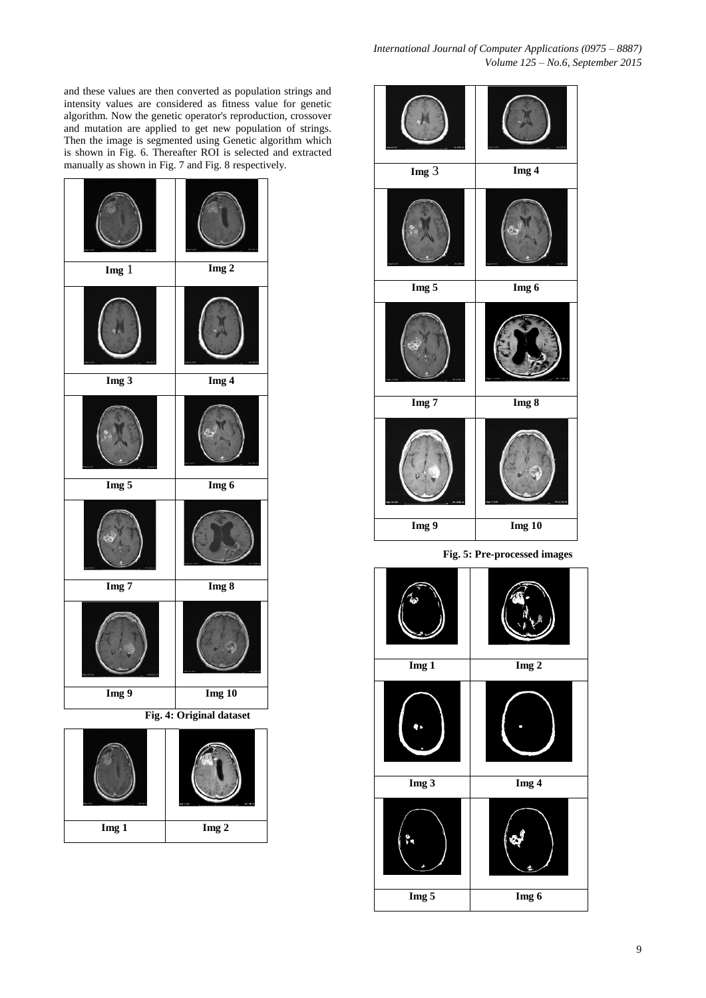and these values are then converted as population strings and intensity values are considered as fitness value for genetic algorithm. Now the genetic operator's reproduction, crossover and mutation are applied to get new population of strings. Then the image is segmented using Genetic algorithm which is shown in Fig. 6. Thereafter ROI is selected and extracted manually as shown in Fig. 7 and Fig. 8 respectively.

| $\mathbf{Im} \mathbf{g}$ 1 | $Img$ 2  |  |  |  |  |
|----------------------------|----------|--|--|--|--|
|                            |          |  |  |  |  |
| Img <sub>3</sub>           | Img 4    |  |  |  |  |
|                            |          |  |  |  |  |
| Img 5                      | Img 6    |  |  |  |  |
|                            |          |  |  |  |  |
| Img 7                      | Img 8    |  |  |  |  |
|                            |          |  |  |  |  |
| Img 9                      | $Img$ 10 |  |  |  |  |
| Fig. 4: Original dataset   |          |  |  |  |  |

| Img 1 | Img 2 |
|-------|-------|



**Img 1 Img 2 Img 3 Img 4 Img 5 Img 6**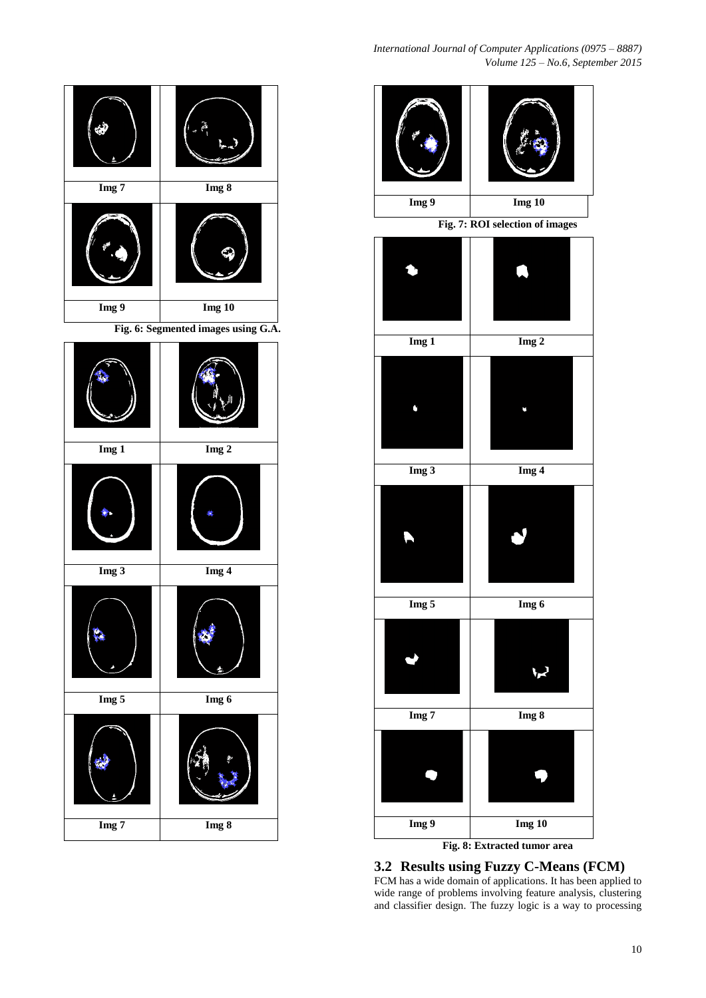

| Img 1            | Img <sub>2</sub> |  |  |  |  |
|------------------|------------------|--|--|--|--|
|                  |                  |  |  |  |  |
| Img 3            | Img 4            |  |  |  |  |
|                  |                  |  |  |  |  |
| Img 5            | Img 6            |  |  |  |  |
|                  |                  |  |  |  |  |
| Img <sub>7</sub> | Img 8            |  |  |  |  |



# **3.2 Results using Fuzzy C-Means (FCM)**

FCM has a wide domain of applications. It has been applied to wide range of problems involving feature analysis, clustering and classifier design. The fuzzy logic is a way to processing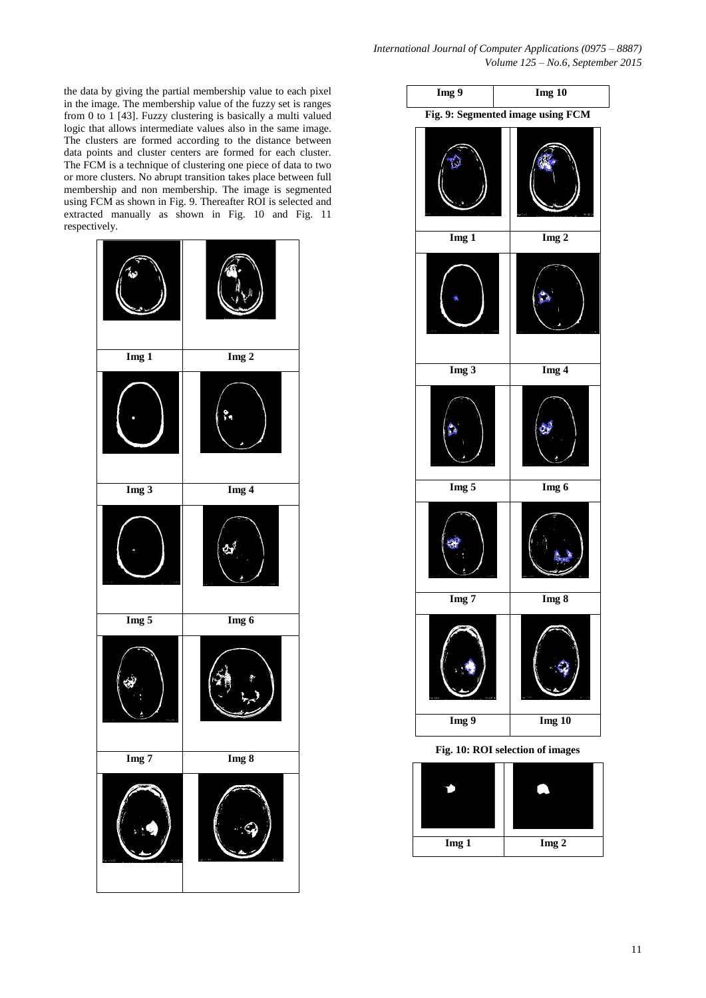the data by giving the partial membership value to each pixel in the image. The membership value of the fuzzy set is ranges from 0 to 1 [43]. Fuzzy clustering is basically a multi valued logic that allows intermediate values also in the same image. The clusters are formed according to the distance between data points and cluster centers are formed for each cluster. The FCM is a technique of clustering one piece of data to two or more clusters. No abrupt transition takes place between full membership and non membership. The image is segmented using FCM as shown in Fig. 9. Thereafter ROI is selected and extracted manually as shown in Fig. 10 and Fig. 11 respectively.



| $\overline{\text{Img } 9}$<br>$Img$ 10 |          |  |  |  |  |  |  |
|----------------------------------------|----------|--|--|--|--|--|--|
| Fig. 9: Segmented image using FCM      |          |  |  |  |  |  |  |
|                                        |          |  |  |  |  |  |  |
| Img <sub>1</sub>                       | $Img$ 2  |  |  |  |  |  |  |
|                                        |          |  |  |  |  |  |  |
| $Img$ 3                                | Img 4    |  |  |  |  |  |  |
|                                        |          |  |  |  |  |  |  |
| Img 5                                  | Img 6    |  |  |  |  |  |  |
|                                        |          |  |  |  |  |  |  |
| Img 7                                  | Img 8    |  |  |  |  |  |  |
|                                        |          |  |  |  |  |  |  |
| Img 9                                  | $Img$ 10 |  |  |  |  |  |  |

**Fig. 10: ROI selection of images**

| Img 1 | Img 2 |
|-------|-------|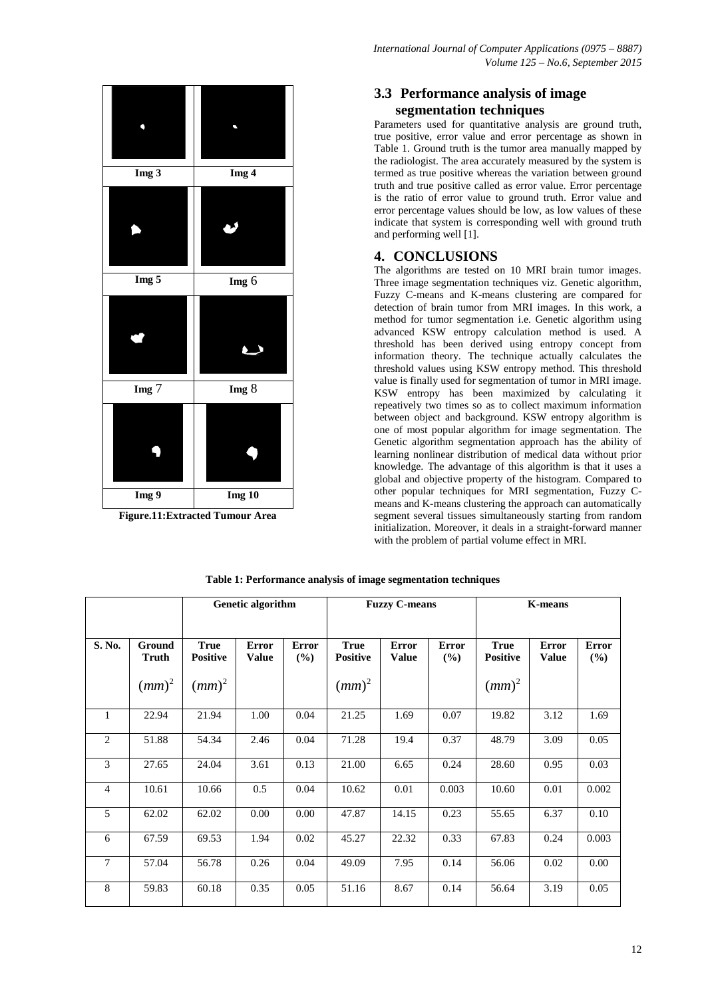

**Figure.11:Extracted Tumour Area**

# **3.3 Performance analysis of image segmentation techniques**

Parameters used for quantitative analysis are ground truth, true positive, error value and error percentage as shown in Table 1. Ground truth is the tumor area manually mapped by the radiologist. The area accurately measured by the system is termed as true positive whereas the variation between ground truth and true positive called as error value. Error percentage is the ratio of error value to ground truth. Error value and error percentage values should be low, as low values of these indicate that system is corresponding well with ground truth and performing well [1].

# **4. CONCLUSIONS**

The algorithms are tested on 10 MRI brain tumor images. Three image segmentation techniques viz. Genetic algorithm, Fuzzy C-means and K-means clustering are compared for detection of brain tumor from MRI images. In this work, a method for tumor segmentation i.e. Genetic algorithm using advanced KSW entropy calculation method is used. A threshold has been derived using entropy concept from information theory. The technique actually calculates the threshold values using KSW entropy method. This threshold value is finally used for segmentation of tumor in MRI image. KSW entropy has been maximized by calculating it repeatively two times so as to collect maximum information between object and background. KSW entropy algorithm is one of most popular algorithm for image segmentation. The Genetic algorithm segmentation approach has the ability of learning nonlinear distribution of medical data without prior knowledge. The advantage of this algorithm is that it uses a global and objective property of the histogram. Compared to other popular techniques for MRI segmentation, Fuzzy Cmeans and K-means clustering the approach can automatically segment several tissues simultaneously starting from random initialization. Moreover, it deals in a straight-forward manner with the problem of partial volume effect in MRI.

|                |                        | Genetic algorithm              |                              |                     | <b>Fuzzy C-means</b>           |                              |                     | <b>K-means</b>                 |                              |                     |
|----------------|------------------------|--------------------------------|------------------------------|---------------------|--------------------------------|------------------------------|---------------------|--------------------------------|------------------------------|---------------------|
|                |                        |                                |                              |                     |                                |                              |                     |                                |                              |                     |
| S. No.         | Ground<br><b>Truth</b> | <b>True</b><br><b>Positive</b> | <b>Error</b><br><b>Value</b> | <b>Error</b><br>(%) | <b>True</b><br><b>Positive</b> | <b>Error</b><br><b>Value</b> | <b>Error</b><br>(%) | <b>True</b><br><b>Positive</b> | <b>Error</b><br><b>Value</b> | <b>Error</b><br>(%) |
|                | $(mm)^2$               | $(mm)^2$                       |                              |                     | $(mm)^2$                       |                              |                     | $(mm)^2$                       |                              |                     |
| 1              | 22.94                  | 21.94                          | 1.00                         | 0.04                | 21.25                          | 1.69                         | 0.07                | 19.82                          | 3.12                         | 1.69                |
| $\overline{2}$ | 51.88                  | 54.34                          | 2.46                         | 0.04                | 71.28                          | 19.4                         | 0.37                | 48.79                          | 3.09                         | 0.05                |
| 3              | 27.65                  | 24.04                          | 3.61                         | 0.13                | 21.00                          | 6.65                         | 0.24                | 28.60                          | 0.95                         | 0.03                |
| $\overline{4}$ | 10.61                  | 10.66                          | 0.5                          | 0.04                | 10.62                          | 0.01                         | 0.003               | 10.60                          | 0.01                         | 0.002               |
| 5              | 62.02                  | 62.02                          | 0.00                         | 0.00                | 47.87                          | 14.15                        | 0.23                | 55.65                          | 6.37                         | 0.10                |
| 6              | 67.59                  | 69.53                          | 1.94                         | 0.02                | 45.27                          | 22.32                        | 0.33                | 67.83                          | 0.24                         | 0.003               |
| 7              | 57.04                  | 56.78                          | 0.26                         | 0.04                | 49.09                          | 7.95                         | 0.14                | 56.06                          | 0.02                         | 0.00                |
| 8              | 59.83                  | 60.18                          | 0.35                         | 0.05                | 51.16                          | 8.67                         | 0.14                | 56.64                          | 3.19                         | 0.05                |

**Table 1: Performance analysis of image segmentation techniques**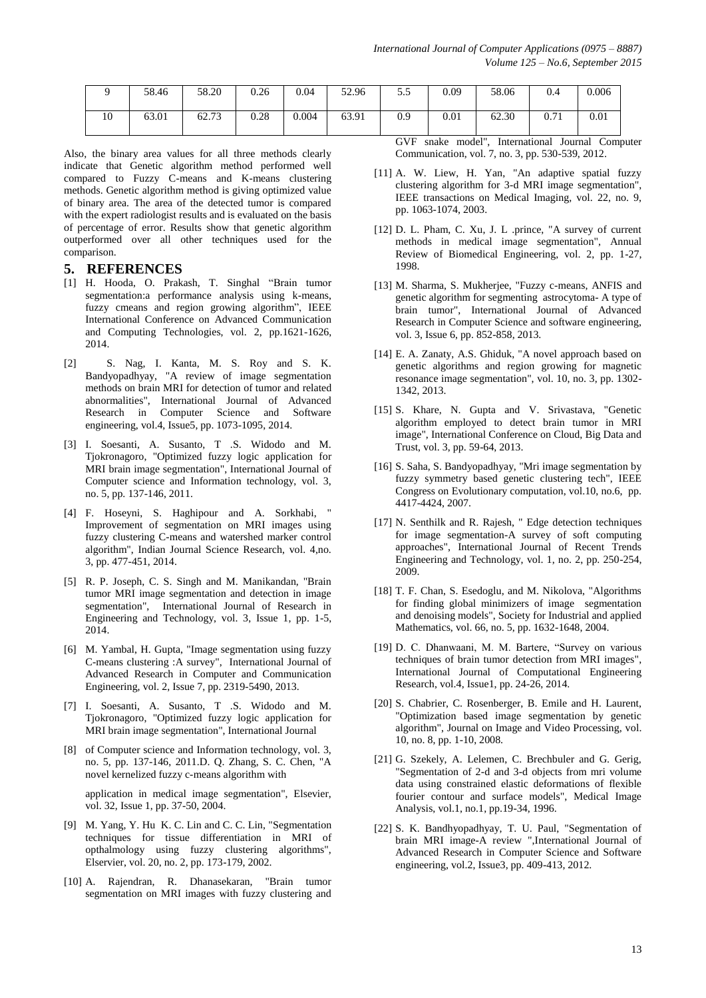|    | 58.46 | 58.20 | 0.26 | 0.04  | 52.96 | $\epsilon$ $\epsilon$<br>ر. ر | 0.09 | 58.06 | 0.4  | 0.006     |
|----|-------|-------|------|-------|-------|-------------------------------|------|-------|------|-----------|
| 10 | 63.01 | 62.73 | 0.28 | 0.004 | 63.91 | 0.9                           | 0.01 | 62.30 | 0.71 | $_{0.01}$ |

Also, the binary area values for all three methods clearly indicate that Genetic algorithm method performed well compared to Fuzzy C-means and K-means clustering methods. Genetic algorithm method is giving optimized value of binary area. The area of the detected tumor is compared with the expert radiologist results and is evaluated on the basis of percentage of error. Results show that genetic algorithm outperformed over all other techniques used for the comparison.

### **5. REFERENCES**

- [1] H. Hooda, O. Prakash, T. Singhal "Brain tumor segmentation:a performance analysis using k-means, fuzzy cmeans and region growing algorithm", IEEE International Conference on Advanced Communication and Computing Technologies, vol. 2, pp.1621-1626, 2014.
- [2] S. Nag, I. Kanta, M. S. Roy and S. K. Bandyopadhyay, "A review of image segmentation methods on brain MRI for detection of tumor and related abnormalities", International Journal of Advanced Research in Computer Science and Software engineering, vol.4, Issue5, pp. 1073-1095, 2014.
- [3] I. Soesanti, A. Susanto, T .S. Widodo and M. Tjokronagoro, "Optimized fuzzy logic application for MRI brain image segmentation", International Journal of Computer science and Information technology, vol. 3, no. 5, pp. 137-146, 2011.
- [4] F. Hoseyni, S. Haghipour and A. Sorkhabi, " Improvement of segmentation on MRI images using fuzzy clustering C-means and watershed marker control algorithm", Indian Journal Science Research, vol. 4,no. 3, pp. 477-451, 2014.
- [5] R. P. Joseph, C. S. Singh and M. Manikandan, "Brain tumor MRI image segmentation and detection in image segmentation", International Journal of Research in Engineering and Technology, vol. 3, Issue 1, pp. 1-5, 2014.
- [6] M. Yambal, H. Gupta, "Image segmentation using fuzzy C-means clustering :A survey", International Journal of Advanced Research in Computer and Communication Engineering, vol. 2, Issue 7, pp. 2319-5490, 2013.
- [7] I. Soesanti, A. Susanto, T .S. Widodo and M. Tjokronagoro, "Optimized fuzzy logic application for MRI brain image segmentation", International Journal
- [8] of Computer science and Information technology, vol. 3, no. 5, pp. 137-146, 2011.D. Q. Zhang, S. C. Chen, "A novel kernelized fuzzy c-means algorithm with application in medical image segmentation", Elsevier, vol. 32, Issue 1, pp. 37-50, 2004.
- [9] M. Yang, Y. Hu K. C. Lin and C. C. Lin, "Segmentation techniques for tissue differentiation in MRI of opthalmology using fuzzy clustering algorithms", Elservier, vol. 20, no. 2, pp. 173-179, 2002.
- [10] A. Rajendran, R. Dhanasekaran, "Brain tumor segmentation on MRI images with fuzzy clustering and

GVF snake model", International Journal Computer Communication, vol. 7, no. 3, pp. 530-539, 2012.

- [11] A. W. Liew, H. Yan, "An adaptive spatial fuzzy clustering algorithm for 3-d MRI image segmentation", IEEE transactions on Medical Imaging, vol. 22, no. 9, pp. 1063-1074, 2003.
- [12] D. L. Pham, C. Xu, J. L. prince, "A survey of current methods in medical image segmentation", Annual Review of Biomedical Engineering, vol. 2, pp. 1-27, 1998.
- [13] M. Sharma, S. Mukherjee, "Fuzzy c-means, ANFIS and genetic algorithm for segmenting astrocytoma- A type of brain tumor", International Journal of Advanced Research in Computer Science and software engineering, vol. 3, Issue 6, pp. 852-858, 2013.
- [14] E. A. Zanaty, A.S. Ghiduk, "A novel approach based on genetic algorithms and region growing for magnetic resonance image segmentation", vol. 10, no. 3, pp. 1302- 1342, 2013.
- [15] S. Khare, N. Gupta and V. Srivastava, "Genetic algorithm employed to detect brain tumor in MRI image", International Conference on Cloud, Big Data and Trust, vol. 3, pp. 59-64, 2013.
- [16] S. Saha, S. Bandyopadhyay, "Mri image segmentation by fuzzy symmetry based genetic clustering tech", IEEE Congress on Evolutionary computation, vol.10, no.6, pp. 4417-4424, 2007.
- [17] N. Senthilk and R. Rajesh, " Edge detection techniques for image segmentation-A survey of soft computing approaches", International Journal of Recent Trends Engineering and Technology, vol. 1, no. 2, pp. 250-254, 2009.
- [18] T. F. Chan, S. Esedoglu, and M. Nikolova, "Algorithms for finding global minimizers of image segmentation and denoising models", Society for Industrial and applied Mathematics, vol. 66, no. 5, pp. 1632-1648, 2004.
- [19] D. C. Dhanwaani, M. M. Bartere, "Survey on various techniques of brain tumor detection from MRI images", International Journal of Computational Engineering Research, vol.4, Issue1, pp. 24-26, 2014.
- [20] S. Chabrier, C. Rosenberger, B. Emile and H. Laurent, "Optimization based image segmentation by genetic algorithm", Journal on Image and Video Processing, vol. 10, no. 8, pp. 1-10, 2008.
- [21] G. Szekely, A. Lelemen, C. Brechbuler and G. Gerig, "Segmentation of 2-d and 3-d objects from mri volume data using constrained elastic deformations of flexible fourier contour and surface models", Medical Image Analysis, vol.1, no.1, pp.19-34, 1996.
- [22] S. K. Bandhyopadhyay, T. U. Paul, "Segmentation of brain MRI image-A review ",International Journal of Advanced Research in Computer Science and Software engineering, vol.2, Issue3, pp. 409-413, 2012.